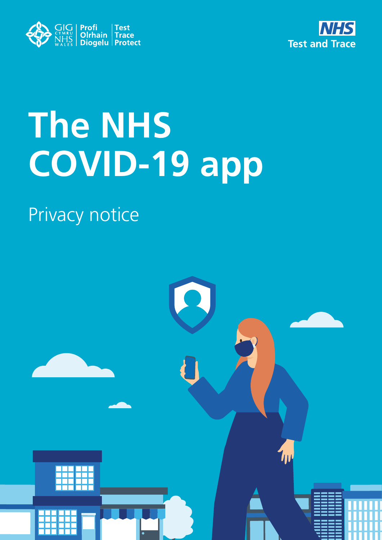



# **The NHS COVID-19 app**

#### Privacy notice

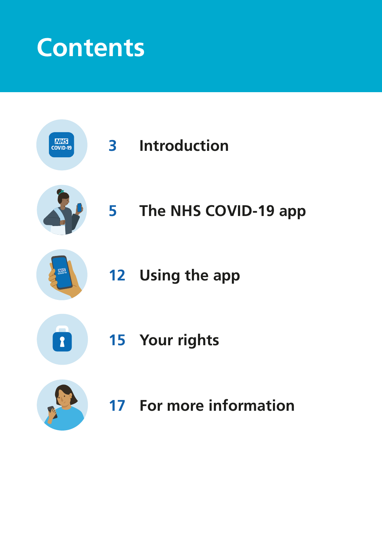### **Contents**

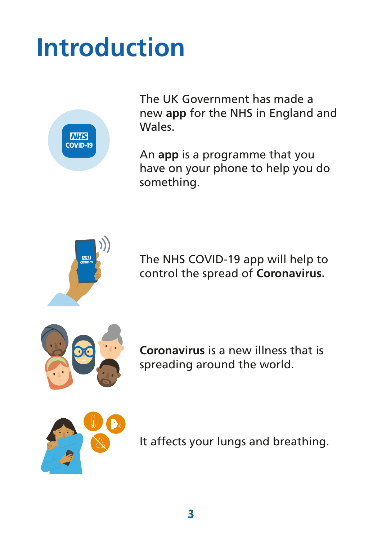### **Introduction**



The UK Government has made a new **app** for the NHS in England and Wales.

An **app** is a programme that you have on your phone to help you do something.



The NHS COVID-19 app will help to control the spread of **Coronavirus.**



**Coronavirus** is a new illness that is spreading around the world.



It affects your lungs and breathing.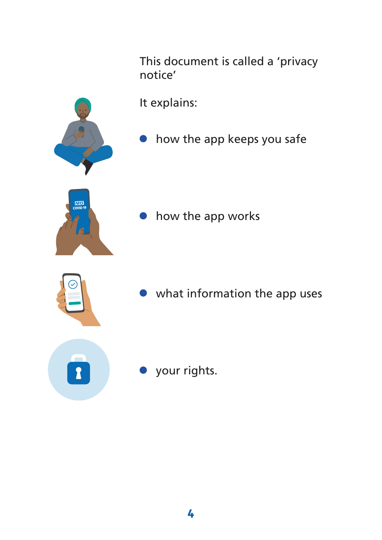This document is called a 'privacy notice'

It explains:

**•** how the app keeps you safe



how the app works



what information the app uses

your rights.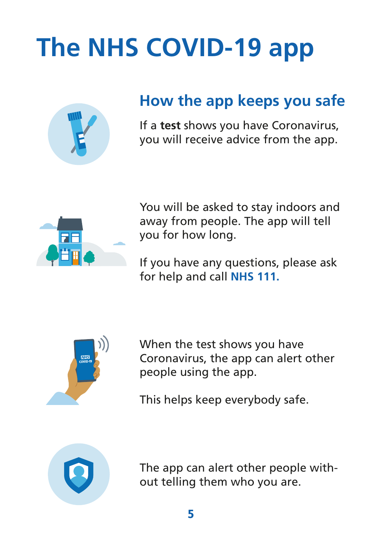## **The NHS COVID-19 app**



#### **How the app keeps you safe**

If a **test** shows you have Coronavirus, you will receive advice from the app.



You will be asked to stay indoors and away from people. The app will tell you for how long.

If you have any questions, please ask for help and call **NHS 111.**



When the test shows you have Coronavirus, the app can alert other people using the app.

This helps keep everybody safe.



The app can alert other people without telling them who you are.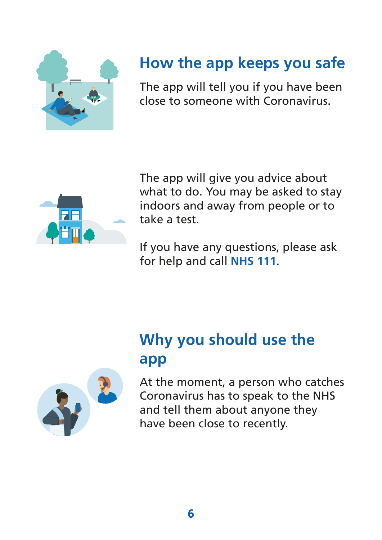

#### **How the app keeps you safe**

The app will tell you if you have been close to someone with Coronavirus.



The app will give you advice about what to do. You may be asked to stay indoors and away from people or to take a test.

If you have any questions, please ask for help and call **NHS 111**.



#### **Why you should use the app**

At the moment, a person who catches Coronavirus has to speak to the NHS and tell them about anyone they have been close to recently.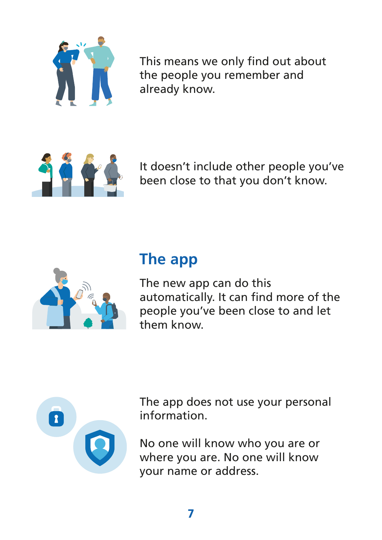

This means we only find out about the people you remember and already know.



It doesn't include other people you've been close to that you don't know.



#### **The app**

The new app can do this automatically. It can find more of the people you've been close to and let them know.



The app does not use your personal information.

No one will know who you are or where you are. No one will know your name or address.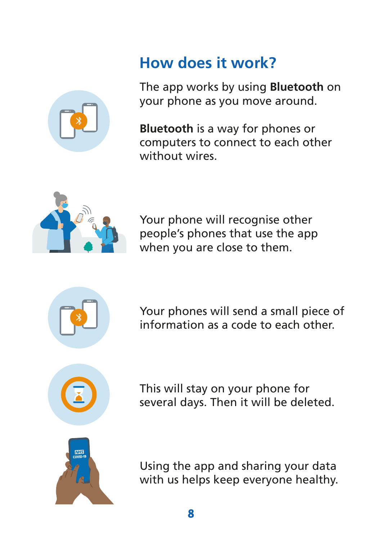

#### **How does it work?**

The app works by using **Bluetooth** on your phone as you move around.

**Bluetooth** is a way for phones or computers to connect to each other without wires.



Your phone will recognise other people's phones that use the app when you are close to them.



Your phones will send a small piece of information as a code to each other.



This will stay on your phone for several days. Then it will be deleted.



Using the app and sharing your data with us helps keep everyone healthy.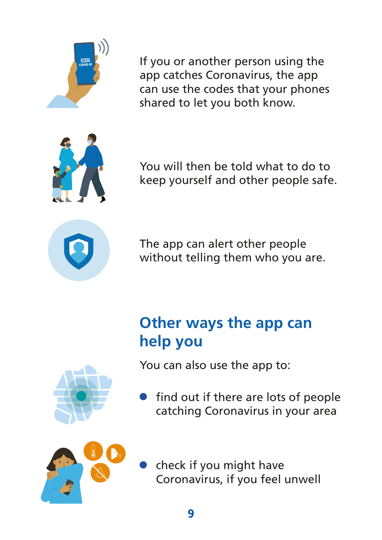

If you or another person using the app catches Coronavirus, the app can use the codes that your phones shared to let you both know.



You will then be told what to do to keep yourself and other people safe.



The app can alert other people without telling them who you are.

#### **Other ways the app can help you**

You can also use the app to:

find out if there are lots of people catching Coronavirus in your area



check if you might have Coronavirus, if you feel unwell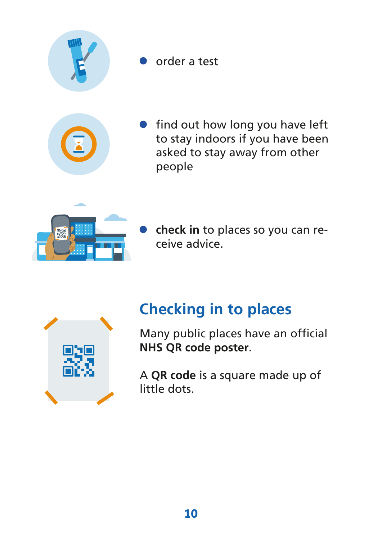

order a test

![](_page_9_Picture_2.jpeg)

![](_page_9_Picture_3.jpeg)

**check in** to places so you can receive advice.

![](_page_9_Picture_5.jpeg)

#### **Checking in to places**

Many public places have an official **NHS QR code poster**.

A **QR code** is a square made up of little dots.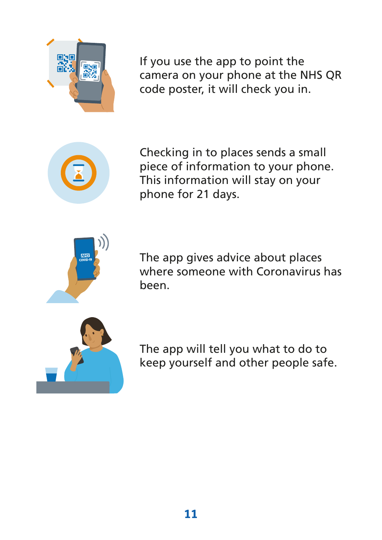![](_page_10_Picture_0.jpeg)

If you use the app to point the camera on your phone at the NHS QR code poster, it will check you in.

![](_page_10_Picture_2.jpeg)

Checking in to places sends a small piece of information to your phone. This information will stay on your phone for 21 days.

![](_page_10_Picture_4.jpeg)

The app gives advice about places where someone with Coronavirus has been.

![](_page_10_Picture_6.jpeg)

The app will tell you what to do to keep yourself and other people safe.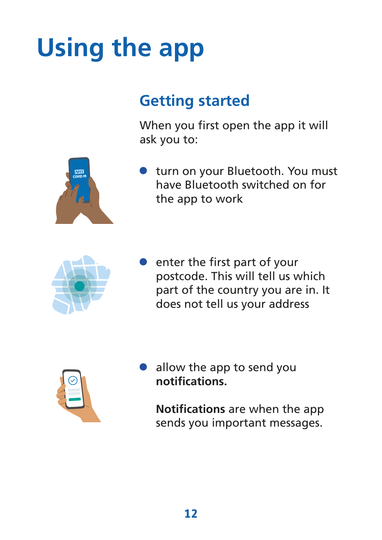### **Using the app**

#### **Getting started**

When you first open the app it will ask you to:

![](_page_11_Picture_3.jpeg)

turn on your Bluetooth. You must have Bluetooth switched on for the app to work

![](_page_11_Picture_5.jpeg)

enter the first part of your postcode. This will tell us which part of the country you are in. It does not tell us your address

![](_page_11_Picture_7.jpeg)

allow the app to send you **notifications.**

**Notifications** are when the app sends you important messages.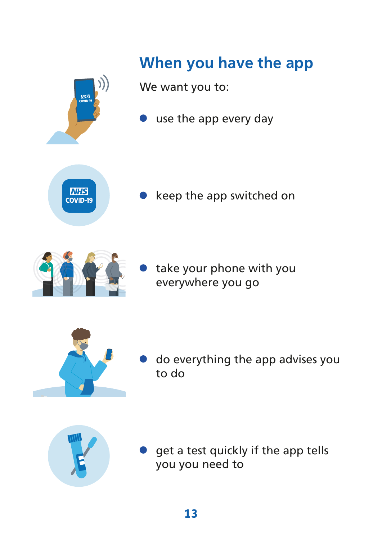![](_page_12_Picture_0.jpeg)

**MIS**<br>COVID-19

#### **When you have the app**

We want you to:

use the app every day

![](_page_12_Picture_4.jpeg)

keep the app switched on

take your phone with you everywhere you go

![](_page_12_Picture_7.jpeg)

do everything the app advises you to do

![](_page_12_Picture_9.jpeg)

get a test quickly if the app tells you you need to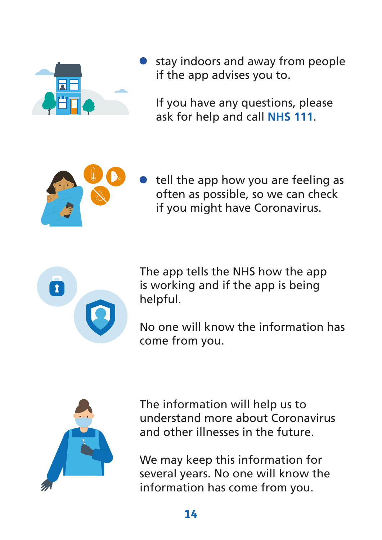![](_page_13_Picture_0.jpeg)

stay indoors and away from people if the app advises you to.

If you have any questions, please ask for help and call **NHS 111**.

![](_page_13_Picture_3.jpeg)

tell the app how you are feeling as often as possible, so we can check if you might have Coronavirus.

![](_page_13_Picture_5.jpeg)

The app tells the NHS how the app is working and if the app is being helpful.

No one will know the information has come from you.

![](_page_13_Picture_8.jpeg)

The information will help us to understand more about Coronavirus and other illnesses in the future.

We may keep this information for several years. No one will know the information has come from you.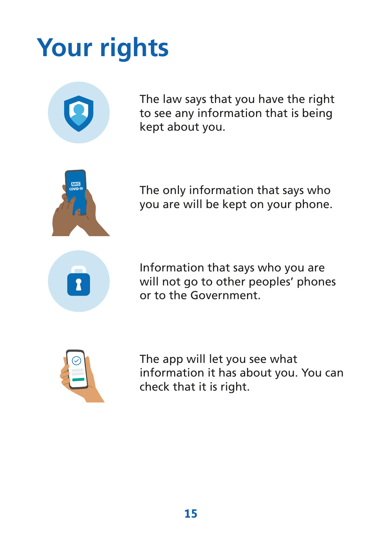### **Your rights**

![](_page_14_Picture_1.jpeg)

The law says that you have the right to see any information that is being kept about you.

![](_page_14_Picture_3.jpeg)

The only information that says who you are will be kept on your phone.

![](_page_14_Picture_5.jpeg)

Information that says who you are will not go to other peoples' phones or to the Government.

![](_page_14_Picture_7.jpeg)

The app will let you see what information it has about you. You can check that it is right.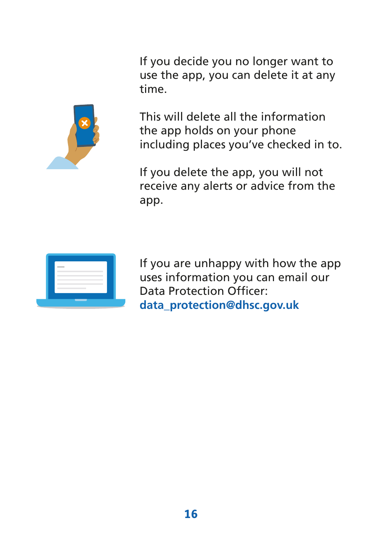If you decide you no longer want to use the app, you can delete it at any time.

![](_page_15_Picture_1.jpeg)

This will delete all the information the app holds on your phone including places you've checked in to.

If you delete the app, you will not receive any alerts or advice from the app.

![](_page_15_Picture_4.jpeg)

If you are unhappy with how the app uses information you can email our Data Protection Officer: **data\_protection@dhsc.gov.uk**